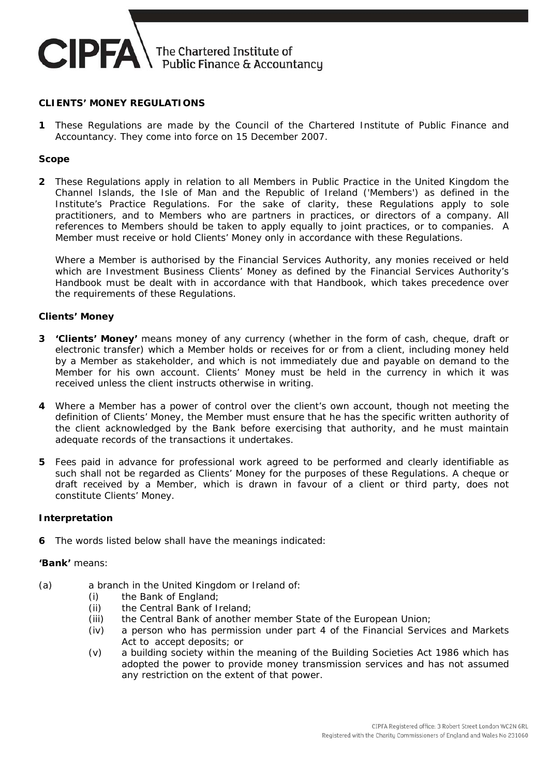

#### **CLIENTS' MONEY REGULATIONS**

**1** These Regulations are made by the Council of the Chartered Institute of Public Finance and Accountancy. They come into force on 15 December 2007.

### **Scope**

**2** These Regulations apply in relation to all Members in Public Practice in the United Kingdom the Channel Islands, the Isle of Man and the Republic of Ireland ('Members') as defined in the Institute's Practice Regulations. For the sake of clarity, these Regulations apply to sole practitioners, and to Members who are partners in practices, or directors of a company. All references to Members should be taken to apply equally to joint practices, or to companies. A Member must receive or hold Clients' Money only in accordance with these Regulations.

 Where a Member is authorised by the Financial Services Authority, any monies received or held which are Investment Business Clients' Money as defined by the Financial Services Authority's Handbook must be dealt with in accordance with that Handbook, which takes precedence over the requirements of these Regulations.

#### **Clients' Money**

- **3 'Clients' Money'** means money of any currency (whether in the form of cash, cheque, draft or electronic transfer) which a Member holds or receives for or from a client, including money held by a Member as stakeholder, and which is not immediately due and payable on demand to the Member for his own account. Clients' Money must be held in the currency in which it was received unless the client instructs otherwise in writing.
- **4** Where a Member has a power of control over the client's own account, though not meeting the definition of Clients' Money, the Member must ensure that he has the specific written authority of the client acknowledged by the Bank before exercising that authority, and he must maintain adequate records of the transactions it undertakes.
- **5** Fees paid in advance for professional work agreed to be performed and clearly identifiable as such shall not be regarded as Clients' Money for the purposes of these Regulations. A cheque or draft received by a Member, which is drawn in favour of a client or third party, does not constitute Clients' Money.

#### **Interpretation**

**6** The words listed below shall have the meanings indicated:

#### **'Bank'** means:

- (a) a branch in the United Kingdom or Ireland of:
	- (i) the Bank of England;
	- (ii) the Central Bank of Ireland;
	- (iii) the Central Bank of another member State of the European Union;
	- (iv) a person who has permission under part 4 of the Financial Services and Markets Act to accept deposits; or
	- (v) a building society within the meaning of the Building Societies Act 1986 which has adopted the power to provide money transmission services and has not assumed any restriction on the extent of that power.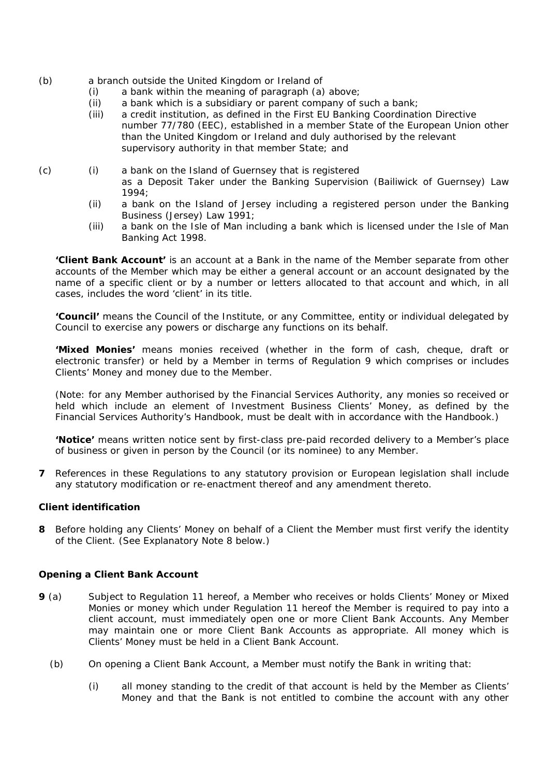- (b) a branch outside the United Kingdom or Ireland of
	- (i) a bank within the meaning of paragraph (a) above;
	- (ii) a bank which is a subsidiary or parent company of such a bank;
	- (iii) a credit institution, as defined in the First EU Banking Coordination Directive number 77/780 (EEC), established in a member State of the European Union other than the United Kingdom or Ireland and duly authorised by the relevant supervisory authority in that member State; and
- (c) (i) a bank on the Island of Guernsey that is registered as a Deposit Taker under the Banking Supervision (Bailiwick of Guernsey) Law 1994;
	- (ii) a bank on the Island of Jersey including a registered person under the Banking Business (Jersey) Law 1991;
	- (iii) a bank on the Isle of Man including a bank which is licensed under the Isle of Man Banking Act 1998.

**'Client Bank Account'** is an account at a Bank in the name of the Member separate from other accounts of the Member which may be either a general account or an account designated by the name of a specific client or by a number or letters allocated to that account and which, in all cases, includes the word 'client' in its title.

**'Council'** means the Council of the Institute, or any Committee, entity or individual delegated by Council to exercise any powers or discharge any functions on its behalf.

**'Mixed Monies'** means monies received (whether in the form of cash, cheque, draft or electronic transfer) or held by a Member in terms of Regulation 9 which comprises or includes Clients' Money and money due to the Member.

(Note: for any Member authorised by the Financial Services Authority, any monies so received or held which include an element of Investment Business Clients' Money, as defined by the Financial Services Authority's Handbook, must be dealt with in accordance with the Handbook.)

**'Notice'** means written notice sent by first-class pre-paid recorded delivery to a Member's place of business or given in person by the Council (or its nominee) to any Member.

**7** References in these Regulations to any statutory provision or European legislation shall include any statutory modification or re-enactment thereof and any amendment thereto.

### **Client identification**

**8** Before holding any Clients' Money on behalf of a Client the Member must first verify the identity of the Client. (See Explanatory Note 8 below.)

### **Opening a Client Bank Account**

- **9** (a) Subject to Regulation 11 hereof, a Member who receives or holds Clients' Money or Mixed Monies or money which under Regulation 11 hereof the Member is required to pay into a client account, must immediately open one or more Client Bank Accounts. Any Member may maintain one or more Client Bank Accounts as appropriate. All money which is Clients' Money must be held in a Client Bank Account.
	- (b) On opening a Client Bank Account, a Member must notify the Bank in writing that:
		- (i) all money standing to the credit of that account is held by the Member as Clients' Money and that the Bank is not entitled to combine the account with any other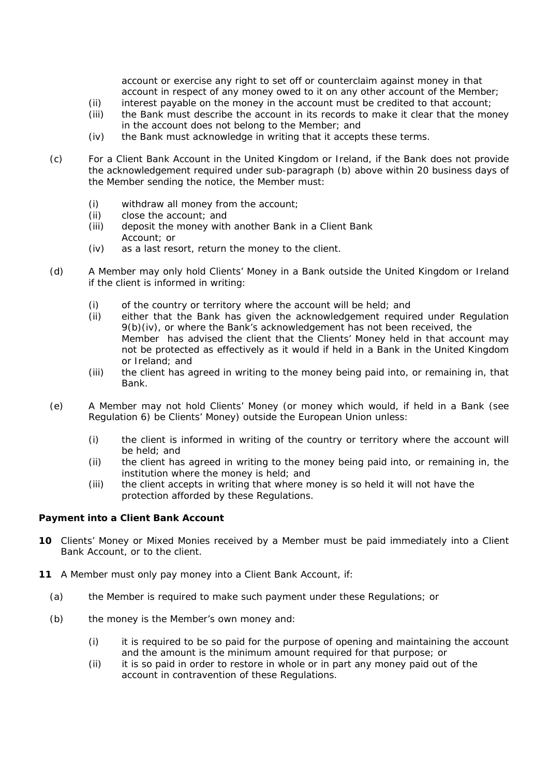account or exercise any right to set off or counterclaim against money in that account in respect of any money owed to it on any other account of the Member;

- (ii) interest payable on the money in the account must be credited to that account;
- (iii) the Bank must describe the account in its records to make it clear that the money in the account does not belong to the Member; and
- (iv) the Bank must acknowledge in writing that it accepts these terms.
- (c) For a Client Bank Account in the United Kingdom or Ireland, if the Bank does not provide the acknowledgement required under sub-paragraph (b) above within 20 business days of the Member sending the notice, the Member must:
	- (i) withdraw all money from the account;
	- (ii) close the account; and
	- (iii) deposit the money with another Bank in a Client Bank Account; or
	- (iv) as a last resort, return the money to the client.
- (d) A Member may only hold Clients' Money in a Bank outside the United Kingdom or Ireland if the client is informed in writing:
	- (i) of the country or territory where the account will be held; and
	- (ii) either that the Bank has given the acknowledgement required under Regulation 9(b)(iv), or where the Bank's acknowledgement has not been received, the Member has advised the client that the Clients' Money held in that account may not be protected as effectively as it would if held in a Bank in the United Kingdom or Ireland; and
	- (iii) the client has agreed in writing to the money being paid into, or remaining in, that Bank.
- (e) A Member may not hold Clients' Money (or money which would, if held in a Bank (see Regulation 6) be Clients' Money) outside the European Union unless:
	- (i) the client is informed in writing of the country or territory where the account will be held; and
	- (ii) the client has agreed in writing to the money being paid into, or remaining in, the institution where the money is held; and
	- (iii) the client accepts in writing that where money is so held it will not have the protection afforded by these Regulations.

### **Payment into a Client Bank Account**

- **10** Clients' Money or Mixed Monies received by a Member must be paid immediately into a Client Bank Account, or to the client.
- **11** A Member must only pay money into a Client Bank Account, if:
	- (a) the Member is required to make such payment under these Regulations; or
	- (b) the money is the Member's own money and:
		- (i) it is required to be so paid for the purpose of opening and maintaining the account and the amount is the minimum amount required for that purpose; or
		- (ii) it is so paid in order to restore in whole or in part any money paid out of the account in contravention of these Regulations.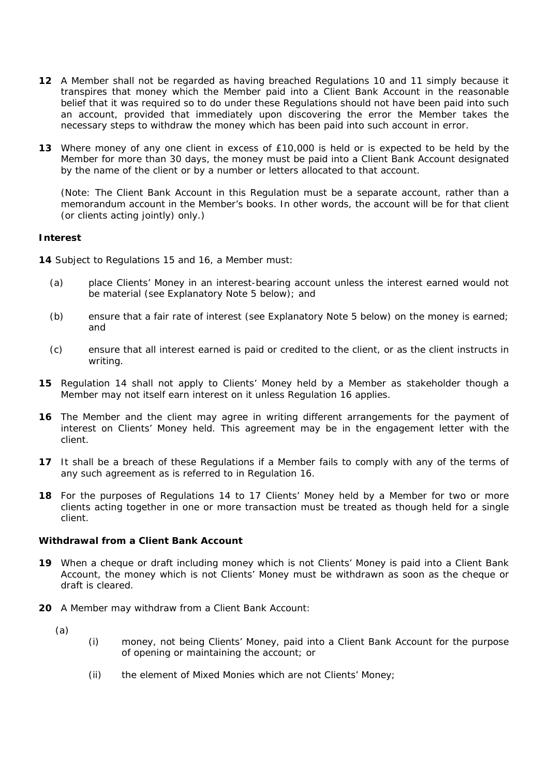- **12** A Member shall not be regarded as having breached Regulations 10 and 11 simply because it transpires that money which the Member paid into a Client Bank Account in the reasonable belief that it was required so to do under these Regulations should not have been paid into such an account, provided that immediately upon discovering the error the Member takes the necessary steps to withdraw the money which has been paid into such account in error.
- **13** Where money of any one client in excess of £10,000 is held or is expected to be held by the Member for more than 30 days, the money must be paid into a Client Bank Account designated by the name of the client or by a number or letters allocated to that account.

 (Note: The Client Bank Account in this Regulation must be a separate account, rather than a memorandum account in the Member's books. In other words, the account will be for that client (or clients acting jointly) only.)

### **Interest**

**14** Subject to Regulations 15 and 16, a Member must:

- (a) place Clients' Money in an interest-bearing account unless the interest earned would not be material (see Explanatory Note 5 below); and
- (b) ensure that a fair rate of interest (see Explanatory Note 5 below) on the money is earned; and
- (c) ensure that all interest earned is paid or credited to the client, or as the client instructs in writing.
- **15** Regulation 14 shall not apply to Clients' Money held by a Member as stakeholder though a Member may not itself earn interest on it unless Regulation 16 applies.
- **16** The Member and the client may agree in writing different arrangements for the payment of interest on Clients' Money held. This agreement may be in the engagement letter with the client.
- **17** It shall be a breach of these Regulations if a Member fails to comply with any of the terms of any such agreement as is referred to in Regulation 16.
- **18** For the purposes of Regulations 14 to 17 Clients' Money held by a Member for two or more clients acting together in one or more transaction must be treated as though held for a single client.

# **Withdrawal from a Client Bank Account**

- **19** When a cheque or draft including money which is not Clients' Money is paid into a Client Bank Account, the money which is not Clients' Money must be withdrawn as soon as the cheque or draft is cleared.
- **20** A Member may withdraw from a Client Bank Account:
	- (a)
- (i) money, not being Clients' Money, paid into a Client Bank Account for the purpose of opening or maintaining the account; or
- (ii) the element of Mixed Monies which are not Clients' Money;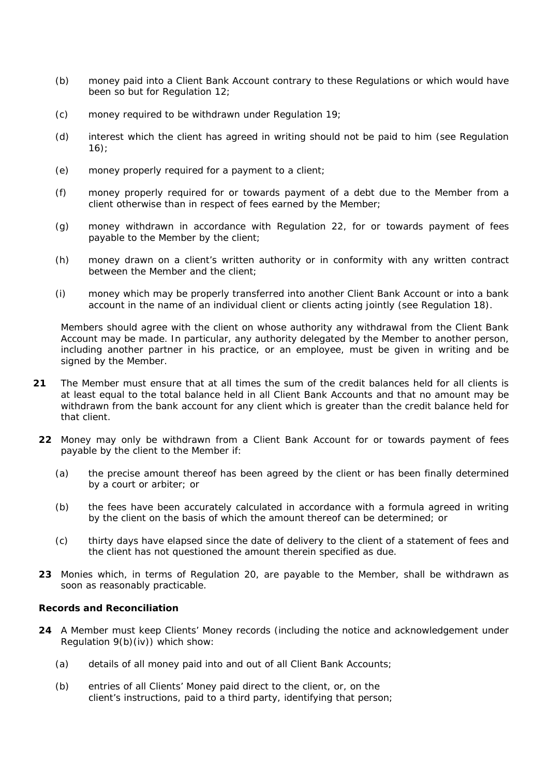- (b) money paid into a Client Bank Account contrary to these Regulations or which would have been so but for Regulation 12;
- (c) money required to be withdrawn under Regulation 19;
- (d) interest which the client has agreed in writing should not be paid to him (see Regulation  $16$ :
- (e) money properly required for a payment to a client;
- (f) money properly required for or towards payment of a debt due to the Member from a client otherwise than in respect of fees earned by the Member;
- (g) money withdrawn in accordance with Regulation 22, for or towards payment of fees payable to the Member by the client;
- (h) money drawn on a client's written authority or in conformity with any written contract between the Member and the client;
- (i) money which may be properly transferred into another Client Bank Account or into a bank account in the name of an individual client or clients acting jointly (see Regulation 18).

Members should agree with the client on whose authority any withdrawal from the Client Bank Account may be made. In particular, any authority delegated by the Member to another person, including another partner in his practice, or an employee, must be given in writing and be signed by the Member.

- **21** The Member must ensure that at all times the sum of the credit balances held for all clients is at least equal to the total balance held in all Client Bank Accounts and that no amount may be withdrawn from the bank account for any client which is greater than the credit balance held for that client.
	- **22** Money may only be withdrawn from a Client Bank Account for or towards payment of fees payable by the client to the Member if:
		- (a) the precise amount thereof has been agreed by the client or has been finally determined by a court or arbiter; or
		- (b) the fees have been accurately calculated in accordance with a formula agreed in writing by the client on the basis of which the amount thereof can be determined; or
		- (c) thirty days have elapsed since the date of delivery to the client of a statement of fees and the client has not questioned the amount therein specified as due.
	- **23** Monies which, in terms of Regulation 20, are payable to the Member, shall be withdrawn as soon as reasonably practicable.

### **Records and Reconciliation**

- **24** A Member must keep Clients' Money records (including the notice and acknowledgement under Regulation 9(b)(iv)) which show:
	- (a) details of all money paid into and out of all Client Bank Accounts;
	- (b) entries of all Clients' Money paid direct to the client, or, on the client's instructions, paid to a third party, identifying that person;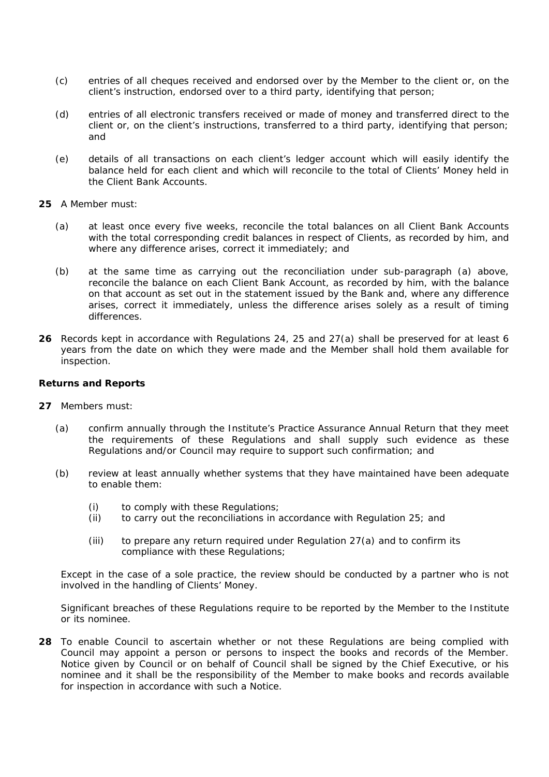- (c) entries of all cheques received and endorsed over by the Member to the client or, on the client's instruction, endorsed over to a third party, identifying that person;
- (d) entries of all electronic transfers received or made of money and transferred direct to the client or, on the client's instructions, transferred to a third party, identifying that person; and
- (e) details of all transactions on each client's ledger account which will easily identify the balance held for each client and which will reconcile to the total of Clients' Money held in the Client Bank Accounts.
- **25** A Member must:
	- (a) at least once every five weeks, reconcile the total balances on all Client Bank Accounts with the total corresponding credit balances in respect of Clients, as recorded by him, and where any difference arises, correct it immediately; and
	- (b) at the same time as carrying out the reconciliation under sub-paragraph (a) above, reconcile the balance on each Client Bank Account, as recorded by him, with the balance on that account as set out in the statement issued by the Bank and, where any difference arises, correct it immediately, unless the difference arises solely as a result of timing differences.
- **26** Records kept in accordance with Regulations 24, 25 and 27(a) shall be preserved for at least 6 years from the date on which they were made and the Member shall hold them available for inspection.

#### **Returns and Reports**

- **27** Members must:
	- (a) confirm annually through the Institute's Practice Assurance Annual Return that they meet the requirements of these Regulations and shall supply such evidence as these Regulations and/or Council may require to support such confirmation; and
	- (b) review at least annually whether systems that they have maintained have been adequate to enable them:
		- (i) to comply with these Regulations;
		- (ii) to carry out the reconciliations in accordance with Regulation 25; and
		- (iii) to prepare any return required under Regulation 27(a) and to confirm its compliance with these Regulations;

Except in the case of a sole practice, the review should be conducted by a partner who is not involved in the handling of Clients' Money.

Significant breaches of these Regulations require to be reported by the Member to the Institute or its nominee.

**28** To enable Council to ascertain whether or not these Regulations are being complied with Council may appoint a person or persons to inspect the books and records of the Member. Notice given by Council or on behalf of Council shall be signed by the Chief Executive, or his nominee and it shall be the responsibility of the Member to make books and records available for inspection in accordance with such a Notice.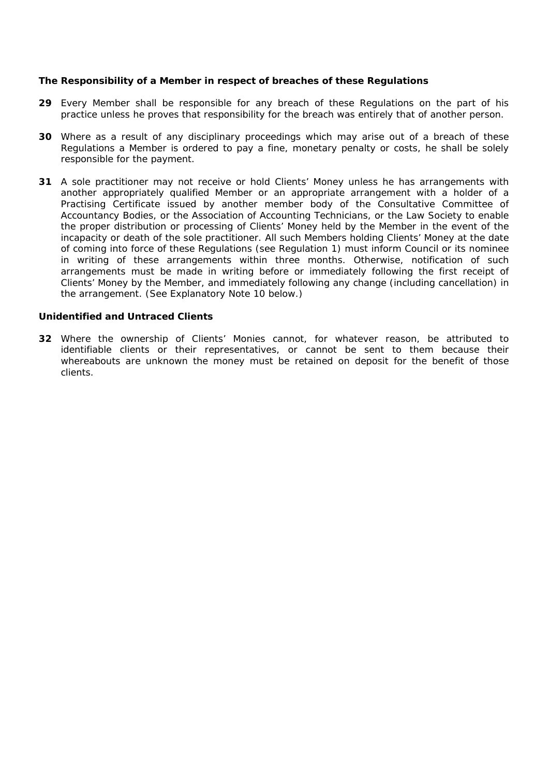### **The Responsibility of a Member in respect of breaches of these Regulations**

- **29** Every Member shall be responsible for any breach of these Regulations on the part of his practice unless he proves that responsibility for the breach was entirely that of another person.
- **30** Where as a result of any disciplinary proceedings which may arise out of a breach of these Regulations a Member is ordered to pay a fine, monetary penalty or costs, he shall be solely responsible for the payment.
- **31** A sole practitioner may not receive or hold Clients' Money unless he has arrangements with another appropriately qualified Member or an appropriate arrangement with a holder of a Practising Certificate issued by another member body of the Consultative Committee of Accountancy Bodies, or the Association of Accounting Technicians, or the Law Society to enable the proper distribution or processing of Clients' Money held by the Member in the event of the incapacity or death of the sole practitioner. All such Members holding Clients' Money at the date of coming into force of these Regulations (see Regulation 1) must inform Council or its nominee in writing of these arrangements within three months. Otherwise, notification of such arrangements must be made in writing before or immediately following the first receipt of Clients' Money by the Member, and immediately following any change (including cancellation) in the arrangement. (See Explanatory Note 10 below.)

#### **Unidentified and Untraced Clients**

**32** Where the ownership of Clients' Monies cannot, for whatever reason, be attributed to identifiable clients or their representatives, or cannot be sent to them because their whereabouts are unknown the money must be retained on deposit for the benefit of those clients.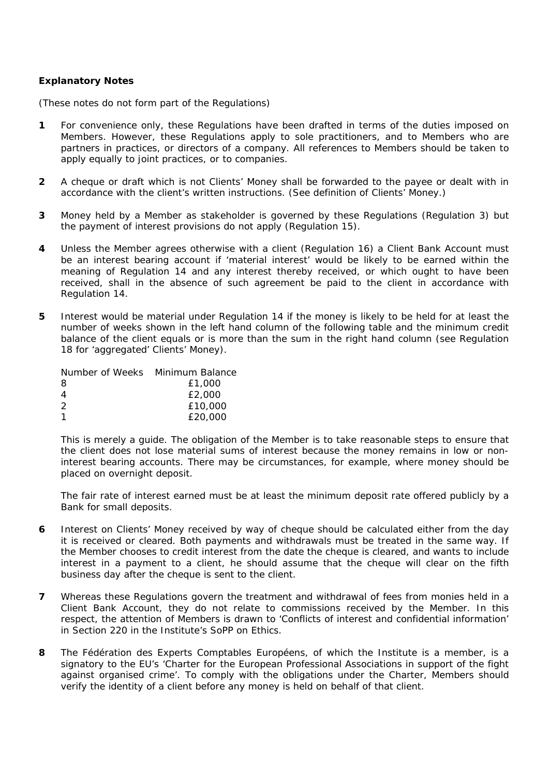## **Explanatory Notes**

(These notes do not form part of the Regulations)

- **1** For convenience only, these Regulations have been drafted in terms of the duties imposed on Members. However, these Regulations apply to sole practitioners, and to Members who are partners in practices, or directors of a company. All references to Members should be taken to apply equally to joint practices, or to companies.
- **2** A cheque or draft which is not Clients' Money shall be forwarded to the payee or dealt with in accordance with the client's written instructions. (See definition of Clients' Money.)
- **3** Money held by a Member as stakeholder is governed by these Regulations (Regulation 3) but the payment of interest provisions do not apply (Regulation 15).
- **4** Unless the Member agrees otherwise with a client (Regulation 16) a Client Bank Account must be an interest bearing account if 'material interest' would be likely to be earned within the meaning of Regulation 14 and any interest thereby received, or which ought to have been received, shall in the absence of such agreement be paid to the client in accordance with Regulation 14.
- **5** Interest would be material under Regulation 14 if the money is likely to be held for at least the number of weeks shown in the left hand column of the following table and the minimum credit balance of the client equals or is more than the sum in the right hand column (see Regulation 18 for 'aggregated' Clients' Money).

| Number of Weeks Minimum Balance |         |
|---------------------------------|---------|
| 8                               | £1,000  |
| 4                               | £2,000  |
| 2                               | £10,000 |
| 1                               | £20,000 |

This is merely a guide. The obligation of the Member is to take reasonable steps to ensure that the client does not lose material sums of interest because the money remains in low or noninterest bearing accounts. There may be circumstances, for example, where money should be placed on overnight deposit.

The fair rate of interest earned must be at least the minimum deposit rate offered publicly by a Bank for small deposits.

- **6** Interest on Clients' Money received by way of cheque should be calculated either from the day it is received or cleared. Both payments and withdrawals must be treated in the same way. If the Member chooses to credit interest from the date the cheque is cleared, and wants to include interest in a payment to a client, he should assume that the cheque will clear on the fifth business day after the cheque is sent to the client.
- **7** Whereas these Regulations govern the treatment and withdrawal of fees from monies held in a Client Bank Account, they do not relate to commissions received by the Member. In this respect, the attention of Members is drawn to 'Conflicts of interest and confidential information' in Section 220 in the Institute's SoPP on Ethics.
- **8** The Fédération des Experts Comptables Européens, of which the Institute is a member, is a signatory to the EU's 'Charter for the European Professional Associations in support of the fight against organised crime'. To comply with the obligations under the Charter, Members should verify the identity of a client before any money is held on behalf of that client.